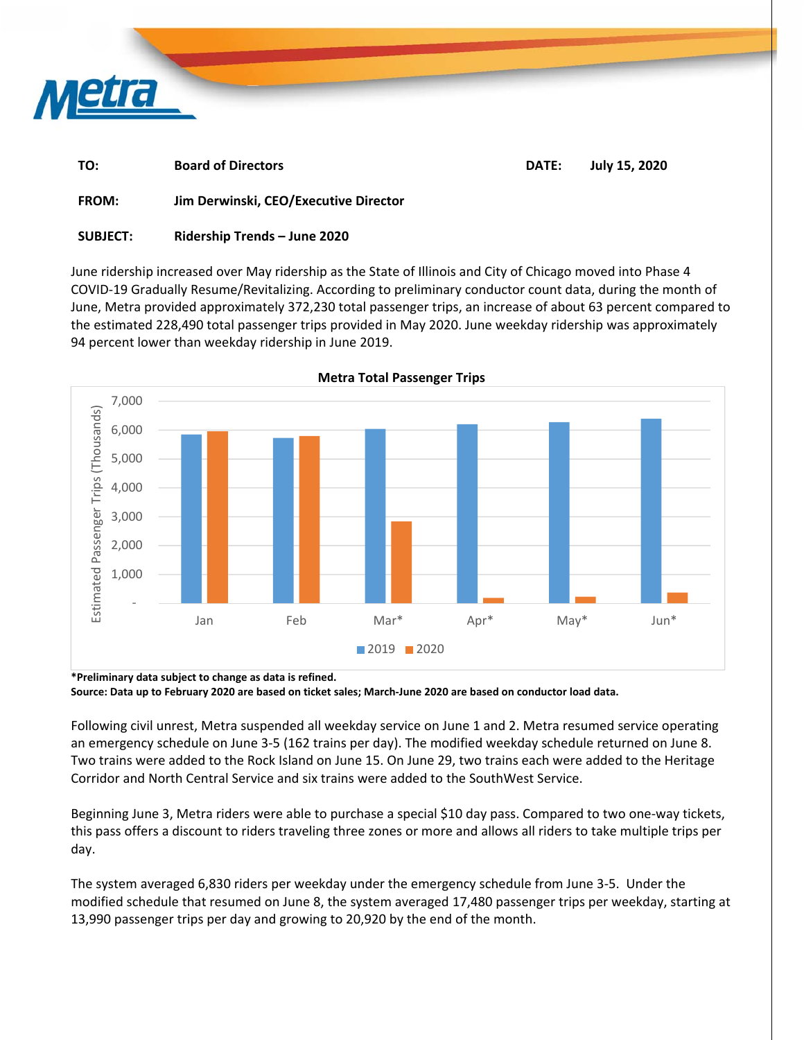

| TO:          | <b>Board of Directors</b>             | DATE: | July 15, 2020 |
|--------------|---------------------------------------|-------|---------------|
| <b>FROM:</b> | Jim Derwinski, CEO/Executive Director |       |               |

## **SUBJECT: Ridership Trends – June 2020**

June ridership increased over May ridership as the State of Illinois and City of Chicago moved into Phase 4 COVID‐19 Gradually Resume/Revitalizing. According to preliminary conductor count data, during the month of June, Metra provided approximately 372,230 total passenger trips, an increase of about 63 percent compared to the estimated 228,490 total passenger trips provided in May 2020. June weekday ridership was approximately 94 percent lower than weekday ridership in June 2019.



**Source: Data up to February 2020 are based on ticket sales; March‐June 2020 are based on conductor load data.** 

Following civil unrest, Metra suspended all weekday service on June 1 and 2. Metra resumed service operating an emergency schedule on June 3‐5 (162 trains per day). The modified weekday schedule returned on June 8. Two trains were added to the Rock Island on June 15. On June 29, two trains each were added to the Heritage Corridor and North Central Service and six trains were added to the SouthWest Service.

Beginning June 3, Metra riders were able to purchase a special \$10 day pass. Compared to two one‐way tickets, this pass offers a discount to riders traveling three zones or more and allows all riders to take multiple trips per day.

The system averaged 6,830 riders per weekday under the emergency schedule from June 3‐5. Under the modified schedule that resumed on June 8, the system averaged 17,480 passenger trips per weekday, starting at 13,990 passenger trips per day and growing to 20,920 by the end of the month.